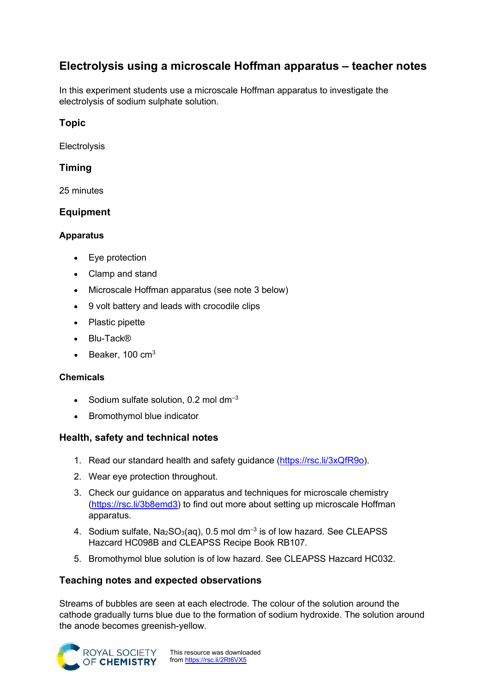# **Electrolysis using a microscale Hoffman apparatus – teacher notes**

In this experiment students use a microscale Hoffman apparatus to investigate the electrolysis of sodium sulphate solution.

# **Topic**

Electrolysis

# **Timing**

25 minutes

## **Equipment**

#### **Apparatus**

- Eye protection
- Clamp and stand
- Microscale Hoffman apparatus (see note 3 below)
- 9 volt battery and leads with crocodile clips
- Plastic pipette
- Blu-Tack®
- $\bullet$  Beaker, 100 cm<sup>3</sup>

#### **Chemicals**

- Sodium sulfate solution, 0.2 mol dm $^{-3}$
- Bromothymol blue indicator

## **Health, safety and technical notes**

- 1. Read our standard health and safety guidance [\(https://rsc.li/3xQfR9o\)](https://rsc.li/3xQfR9o).
- 2. Wear eye protection throughout.
- 3. Check our guidance on apparatus and techniques for microscale chemistry [\(https://rsc.li/3b8emd3\)](https://rsc.li/3b8emd3) to find out more about setting up microscale Hoffman apparatus.
- 4. Sodium sulfate,  $Na<sub>2</sub>SO<sub>3</sub>(aq)$ , 0.5 mol dm<sup>-3</sup> is of low hazard. See CLEAPSS Hazcard HC098B and CLEAPSS Recipe Book RB107.
- 5. Bromothymol blue solution is of low hazard. See CLEAPSS Hazcard HC032.

## **Teaching notes and expected observations**

Streams of bubbles are seen at each electrode. The colour of the solution around the cathode gradually turns blue due to the formation of sodium hydroxide. The solution around the anode becomes greenish-yellow.